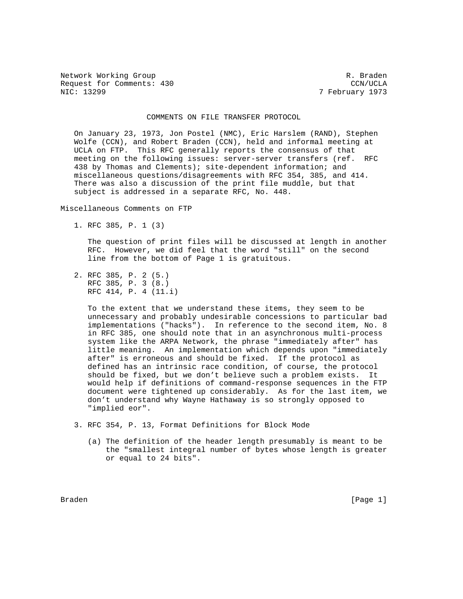Network Working Group and the set of the set of the set of the R. Braden Request for Comments: 430 CCN/UCLA<br>NIC: 13299 7 February 1973

7 February 1973

## COMMENTS ON FILE TRANSFER PROTOCOL

 On January 23, 1973, Jon Postel (NMC), Eric Harslem (RAND), Stephen Wolfe (CCN), and Robert Braden (CCN), held and informal meeting at UCLA on FTP. This RFC generally reports the consensus of that meeting on the following issues: server-server transfers (ref. RFC 438 by Thomas and Clements); site-dependent information; and miscellaneous questions/disagreements with RFC 354, 385, and 414. There was also a discussion of the print file muddle, but that subject is addressed in a separate RFC, No. 448.

Miscellaneous Comments on FTP

1. RFC 385, P. 1 (3)

 The question of print files will be discussed at length in another RFC. However, we did feel that the word "still" on the second line from the bottom of Page 1 is gratuitous.

 2. RFC 385, P. 2 (5.) RFC 385, P. 3 (8.) RFC 414, P. 4 (11.i)

> To the extent that we understand these items, they seem to be unnecessary and probably undesirable concessions to particular bad implementations ("hacks"). In reference to the second item, No. 8 in RFC 385, one should note that in an asynchronous multi-process system like the ARPA Network, the phrase "immediately after" has little meaning. An implementation which depends upon "immediately after" is erroneous and should be fixed. If the protocol as defined has an intrinsic race condition, of course, the protocol should be fixed, but we don't believe such a problem exists. It would help if definitions of command-response sequences in the FTP document were tightened up considerably. As for the last item, we don't understand why Wayne Hathaway is so strongly opposed to "implied eor".

- 3. RFC 354, P. 13, Format Definitions for Block Mode
	- (a) The definition of the header length presumably is meant to be the "smallest integral number of bytes whose length is greater or equal to 24 bits".

Braden [Page 1]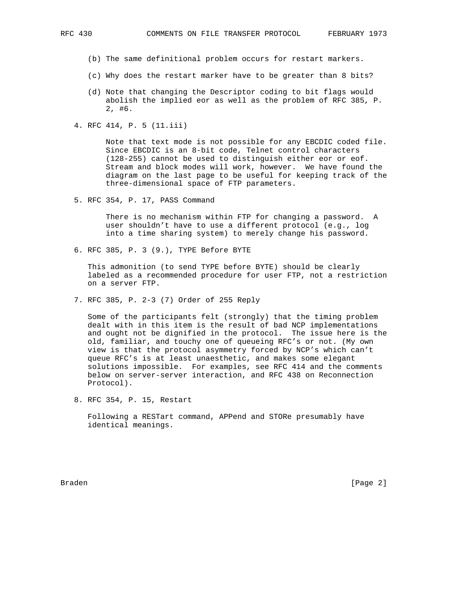- (b) The same definitional problem occurs for restart markers.
- (c) Why does the restart marker have to be greater than 8 bits?
- (d) Note that changing the Descriptor coding to bit flags would abolish the implied eor as well as the problem of RFC 385, P. 2, #6.
- 4. RFC 414, P. 5 (11.iii)

 Note that text mode is not possible for any EBCDIC coded file. Since EBCDIC is an 8-bit code, Telnet control characters (128-255) cannot be used to distinguish either eor or eof. Stream and block modes will work, however. We have found the diagram on the last page to be useful for keeping track of the three-dimensional space of FTP parameters.

5. RFC 354, P. 17, PASS Command

 There is no mechanism within FTP for changing a password. A user shouldn't have to use a different protocol (e.g., log into a time sharing system) to merely change his password.

6. RFC 385, P. 3 (9.), TYPE Before BYTE

 This admonition (to send TYPE before BYTE) should be clearly labeled as a recommended procedure for user FTP, not a restriction on a server FTP.

7. RFC 385, P. 2-3 (7) Order of 255 Reply

 Some of the participants felt (strongly) that the timing problem dealt with in this item is the result of bad NCP implementations and ought not be dignified in the protocol. The issue here is the old, familiar, and touchy one of queueing RFC's or not. (My own view is that the protocol asymmetry forced by NCP's which can't queue RFC's is at least unaesthetic, and makes some elegant solutions impossible. For examples, see RFC 414 and the comments below on server-server interaction, and RFC 438 on Reconnection Protocol).

8. RFC 354, P. 15, Restart

 Following a RESTart command, APPend and STORe presumably have identical meanings.

Braden [Page 2]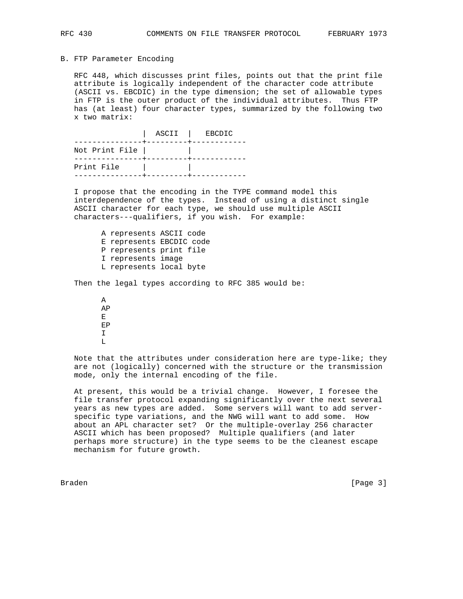## B. FTP Parameter Encoding

 RFC 448, which discusses print files, points out that the print file attribute is logically independent of the character code attribute (ASCII vs. EBCDIC) in the type dimension; the set of allowable types in FTP is the outer product of the individual attributes. Thus FTP has (at least) four character types, summarized by the following two x two matrix:

 | ASCII | EBCDIC ---------------+---------+------------ Not Print File | | ---------------+---------+------------ Print File | | ---------------+---------+------------

 I propose that the encoding in the TYPE command model this interdependence of the types. Instead of using a distinct single ASCII character for each type, we should use multiple ASCII characters---qualifiers, if you wish. For example:

 A represents ASCII code E represents EBCDIC code P represents print file I represents image L represents local byte

Then the legal types according to RFC 385 would be:

 A AP Experience of Executive Executive Executive Executive Executive Executive Executive Executive Executive Executive Executive Executive Executive Executive Executive Executive Executive Executive Executive Executive Executiv EP I  $\mathbb L$ 

> Note that the attributes under consideration here are type-like; they are not (logically) concerned with the structure or the transmission mode, only the internal encoding of the file.

 At present, this would be a trivial change. However, I foresee the file transfer protocol expanding significantly over the next several years as new types are added. Some servers will want to add server specific type variations, and the NWG will want to add some. How about an APL character set? Or the multiple-overlay 256 character ASCII which has been proposed? Multiple qualifiers (and later perhaps more structure) in the type seems to be the cleanest escape mechanism for future growth.

Braden [Page 3]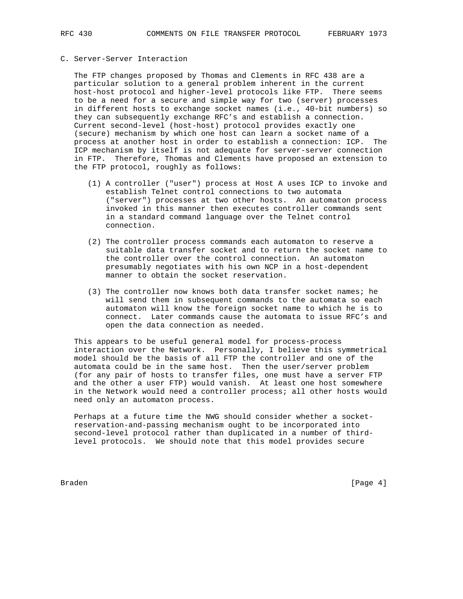## C. Server-Server Interaction

 The FTP changes proposed by Thomas and Clements in RFC 438 are a particular solution to a general problem inherent in the current host-host protocol and higher-level protocols like FTP. There seems to be a need for a secure and simple way for two (server) processes in different hosts to exchange socket names (i.e., 40-bit numbers) so they can subsequently exchange RFC's and establish a connection. Current second-level (host-host) protocol provides exactly one (secure) mechanism by which one host can learn a socket name of a process at another host in order to establish a connection: ICP. The ICP mechanism by itself is not adequate for server-server connection in FTP. Therefore, Thomas and Clements have proposed an extension to the FTP protocol, roughly as follows:

- (1) A controller ("user") process at Host A uses ICP to invoke and establish Telnet control connections to two automata ("server") processes at two other hosts. An automaton process invoked in this manner then executes controller commands sent in a standard command language over the Telnet control connection.
- (2) The controller process commands each automaton to reserve a suitable data transfer socket and to return the socket name to the controller over the control connection. An automaton presumably negotiates with his own NCP in a host-dependent manner to obtain the socket reservation.
- (3) The controller now knows both data transfer socket names; he will send them in subsequent commands to the automata so each automaton will know the foreign socket name to which he is to connect. Later commands cause the automata to issue RFC's and open the data connection as needed.

 This appears to be useful general model for process-process interaction over the Network. Personally, I believe this symmetrical model should be the basis of all FTP the controller and one of the automata could be in the same host. Then the user/server problem (for any pair of hosts to transfer files, one must have a server FTP and the other a user FTP) would vanish. At least one host somewhere in the Network would need a controller process; all other hosts would need only an automaton process.

 Perhaps at a future time the NWG should consider whether a socket reservation-and-passing mechanism ought to be incorporated into second-level protocol rather than duplicated in a number of third level protocols. We should note that this model provides secure

Braden [Page 4]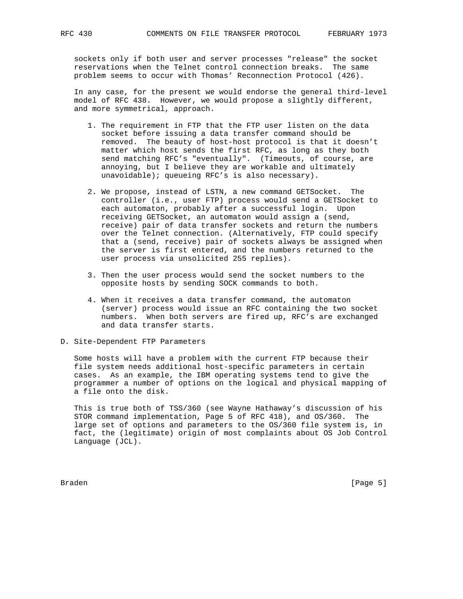sockets only if both user and server processes "release" the socket reservations when the Telnet control connection breaks. The same problem seems to occur with Thomas' Reconnection Protocol (426).

 In any case, for the present we would endorse the general third-level model of RFC 438. However, we would propose a slightly different, and more symmetrical, approach.

- 1. The requirement in FTP that the FTP user listen on the data socket before issuing a data transfer command should be removed. The beauty of host-host protocol is that it doesn't matter which host sends the first RFC, as long as they both send matching RFC's "eventually". (Timeouts, of course, are annoying, but I believe they are workable and ultimately unavoidable); queueing RFC's is also necessary).
- 2. We propose, instead of LSTN, a new command GETSocket. The controller (i.e., user FTP) process would send a GETSocket to each automaton, probably after a successful login. Upon receiving GETSocket, an automaton would assign a (send, receive) pair of data transfer sockets and return the numbers over the Telnet connection. (Alternatively, FTP could specify that a (send, receive) pair of sockets always be assigned when the server is first entered, and the numbers returned to the user process via unsolicited 255 replies).
- 3. Then the user process would send the socket numbers to the opposite hosts by sending SOCK commands to both.
- 4. When it receives a data transfer command, the automaton (server) process would issue an RFC containing the two socket numbers. When both servers are fired up, RFC's are exchanged and data transfer starts.
- D. Site-Dependent FTP Parameters

 Some hosts will have a problem with the current FTP because their file system needs additional host-specific parameters in certain cases. As an example, the IBM operating systems tend to give the programmer a number of options on the logical and physical mapping of a file onto the disk.

 This is true both of TSS/360 (see Wayne Hathaway's discussion of his STOR command implementation, Page 5 of RFC 418), and OS/360. The large set of options and parameters to the OS/360 file system is, in fact, the (legitimate) origin of most complaints about OS Job Control Language (JCL).

Braden [Page 5]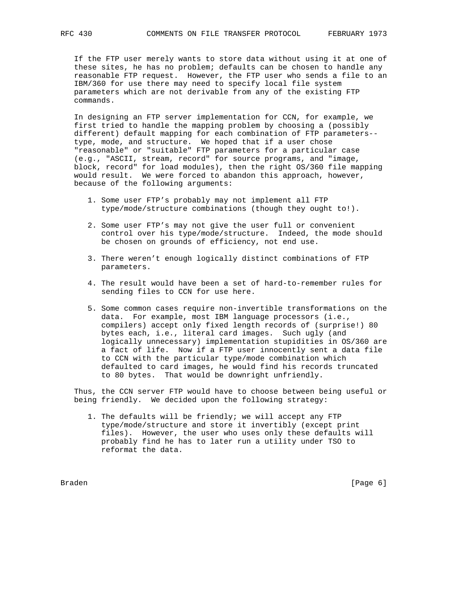If the FTP user merely wants to store data without using it at one of these sites, he has no problem; defaults can be chosen to handle any reasonable FTP request. However, the FTP user who sends a file to an IBM/360 for use there may need to specify local file system parameters which are not derivable from any of the existing FTP commands.

 In designing an FTP server implementation for CCN, for example, we first tried to handle the mapping problem by choosing a (possibly different) default mapping for each combination of FTP parameters- type, mode, and structure. We hoped that if a user chose "reasonable" or "suitable" FTP parameters for a particular case (e.g., "ASCII, stream, record" for source programs, and "image, block, record" for load modules), then the right OS/360 file mapping would result. We were forced to abandon this approach, however, because of the following arguments:

- 1. Some user FTP's probably may not implement all FTP type/mode/structure combinations (though they ought to!).
- 2. Some user FTP's may not give the user full or convenient control over his type/mode/structure. Indeed, the mode should be chosen on grounds of efficiency, not end use.
- 3. There weren't enough logically distinct combinations of FTP parameters.
- 4. The result would have been a set of hard-to-remember rules for sending files to CCN for use here.
- 5. Some common cases require non-invertible transformations on the data. For example, most IBM language processors (i.e., compilers) accept only fixed length records of (surprise!) 80 bytes each, i.e., literal card images. Such ugly (and logically unnecessary) implementation stupidities in OS/360 are a fact of life. Now if a FTP user innocently sent a data file to CCN with the particular type/mode combination which defaulted to card images, he would find his records truncated to 80 bytes. That would be downright unfriendly.

 Thus, the CCN server FTP would have to choose between being useful or being friendly. We decided upon the following strategy:

 1. The defaults will be friendly; we will accept any FTP type/mode/structure and store it invertibly (except print files). However, the user who uses only these defaults will probably find he has to later run a utility under TSO to reformat the data.

Braden [Page 6]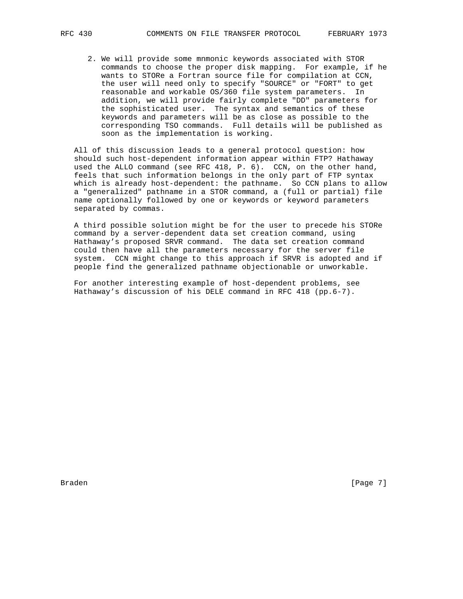2. We will provide some mnmonic keywords associated with STOR commands to choose the proper disk mapping. For example, if he wants to STORe a Fortran source file for compilation at CCN, the user will need only to specify "SOURCE" or "FORT" to get reasonable and workable OS/360 file system parameters. In addition, we will provide fairly complete "DD" parameters for the sophisticated user. The syntax and semantics of these keywords and parameters will be as close as possible to the corresponding TSO commands. Full details will be published as soon as the implementation is working.

 All of this discussion leads to a general protocol question: how should such host-dependent information appear within FTP? Hathaway used the ALLO command (see RFC 418, P. 6). CCN, on the other hand, feels that such information belongs in the only part of FTP syntax which is already host-dependent: the pathname. So CCN plans to allow a "generalized" pathname in a STOR command, a (full or partial) file name optionally followed by one or keywords or keyword parameters separated by commas.

 A third possible solution might be for the user to precede his STORe command by a server-dependent data set creation command, using Hathaway's proposed SRVR command. The data set creation command could then have all the parameters necessary for the server file system. CCN might change to this approach if SRVR is adopted and if people find the generalized pathname objectionable or unworkable.

 For another interesting example of host-dependent problems, see Hathaway's discussion of his DELE command in RFC 418 (pp.6-7).

Braden [Page 7]